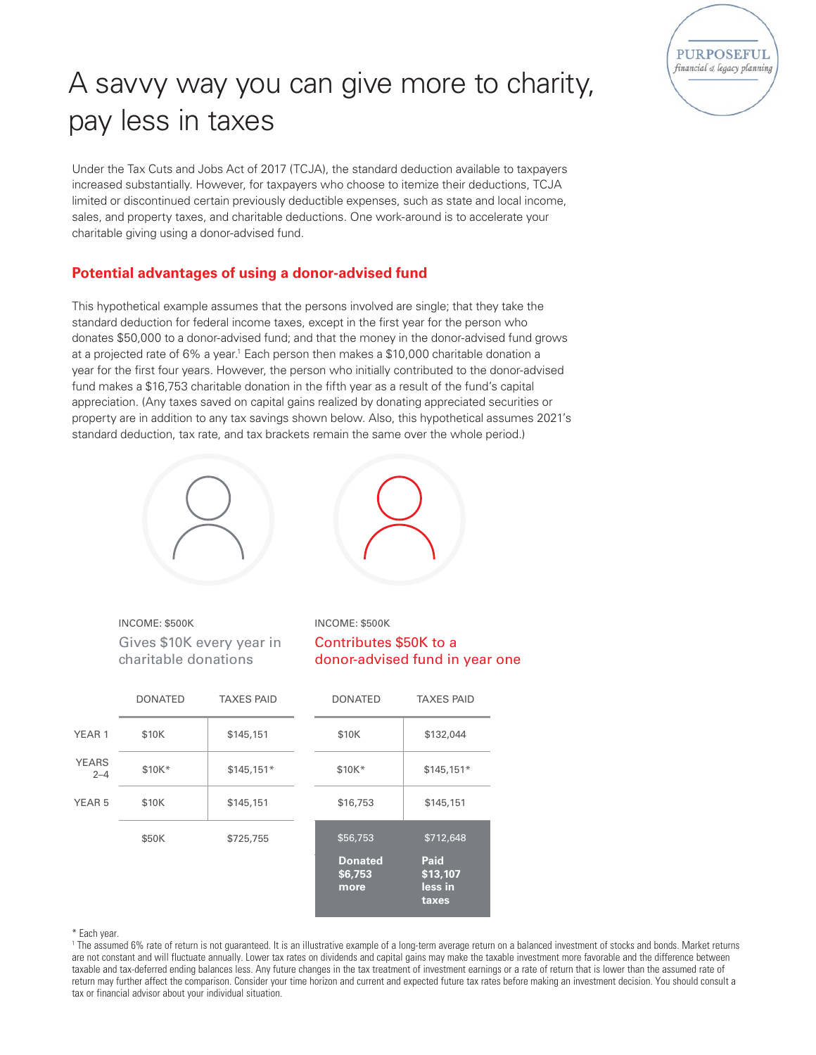

## A savvy way you can give more to charity, pay less in taxes

Under the Tax Cuts and Jobs Act of 2017 (TCJA), the standard deduction available to taxpayers increased substantially. However, for taxpayers who choose to itemize their deductions, TCJA limited or discontinued certain previously deductible expenses, such as state and local income, sales, and property taxes, and charitable deductions. One work-around is to accelerate your charitable giving using a donor-advised fund.

## **Potential advantages of using a donor-advised fund**

This hypothetical example assumes that the persons involved are single; that they take the standard deduction for federal income taxes, except in the first year for the person who donates \$50,000 to a donor-advised fund; and that the money in the donor-advised fund grows at a projected rate of 6% a year.1 Each person then makes a \$10,000 charitable donation a year for the first four years. However, the person who initially contributed to the donor-advised fund makes a \$16,753 charitable donation in the fifth year as a result of the fund's capital appreciation. (Any taxes saved on capital gains realized by donating appreciated securities or property are in addition to any tax savings shown below. Also, this hypothetical assumes 2021's standard deduction, tax rate, and tax brackets remain the same over the whole period.)





INCOME: \$500K Gives \$10K every year in charitable donations

INCOME: \$500K Contributes \$50K to a donor-advised fund in year one

|                         | <b>DONATED</b> | <b>TAXES PAID</b> | <b>DONATED</b>                    | <b>TAXES PAID</b>                           |
|-------------------------|----------------|-------------------|-----------------------------------|---------------------------------------------|
| YEAR <sub>1</sub>       | \$10K          | \$145,151         | \$10K                             | \$132,044                                   |
| <b>YEARS</b><br>$2 - 4$ | \$10K*         | $$145,151*$       | \$10K*                            | $$145,151*$                                 |
| YEAR <sub>5</sub>       | \$10K          | \$145,151         | \$16,753                          | \$145,151                                   |
|                         | \$50K          | \$725,755         | \$56,753                          | \$712,648                                   |
|                         |                |                   | <b>Donated</b><br>\$6,753<br>more | <b>Paid</b><br>\$13,107<br>less in<br>taxes |

\* Each year.

<sup>1</sup> The assumed 6% rate of return is not guaranteed. It is an illustrative example of a long-term average return on a balanced investment of stocks and bonds. Market returns are not constant and will fluctuate annually. Lower tax rates on dividends and capital gains may make the taxable investment more favorable and the difference between taxable and tax-deferred ending balances less. Any future changes in the tax treatment of investment earnings or a rate of return that is lower than the assumed rate of return may further affect the comparison. Consider your time horizon and current and expected future tax rates before making an investment decision. You should consult a tax or financial advisor about your individual situation.